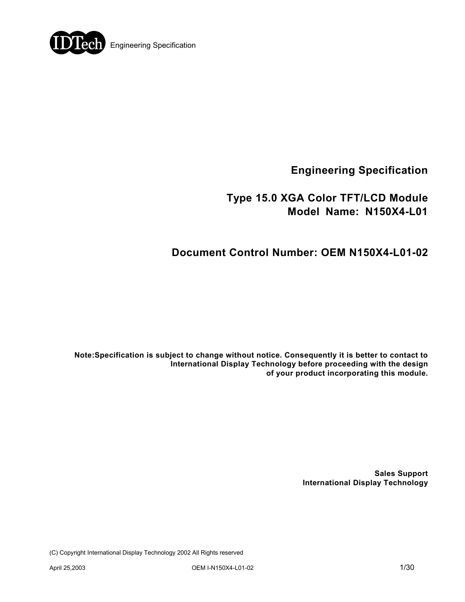

**Engineering Specification** 

## **Type 15.0 XGA Color TFT/LCD Module Model Name: N150X4-L01**

# **Document Control Number: OEM N150X4-L01-02**

**Note:Specification is subject to change without notice. Consequently it is better to contact to International Display Technology before proceeding with the design of your product incorporating this module.** 

> **Sales Support International Display Technology**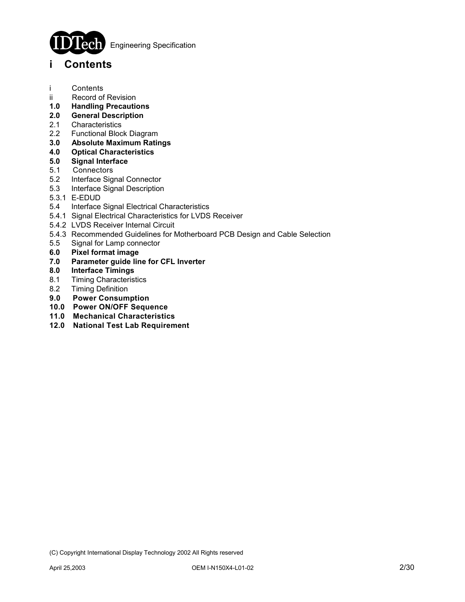

**Engineering Specification** 

### **i Contents**

- i Contents
- ii Record of Revision
- **1.0 Handling Precautions**
- **2.0 General Description**
- 2.1 Characteristics
- 2.2 Functional Block Diagram
- **3.0 Absolute Maximum Ratings**
- **4.0 Optical Characteristics**
- **5.0 Signal Interface**
- 5.1 Connectors
- 5.2 Interface Signal Connector
- 5.3 Interface Signal Description
- 5.3.1 E-EDUD
- 5.4 Interface Signal Electrical Characteristics
- 5.4.1 Signal Electrical Characteristics for LVDS Receiver
- 5.4.2 LVDS Receiver Internal Circuit
- 5.4.3 Recommended Guidelines for Motherboard PCB Design and Cable Selection
- 5.5 Signal for Lamp connector
- **6.0 Pixel format image**
- **7.0 Parameter guide line for CFL Inverter**
- **8.0 Interface Timings**
- 8.1 Timing Characteristics
- 8.2 Timing Definition
- **9.0 Power Consumption**
- **10.0 Power ON/OFF Sequence**
- **11.0 Mechanical Characteristics**
- **12.0 National Test Lab Requirement**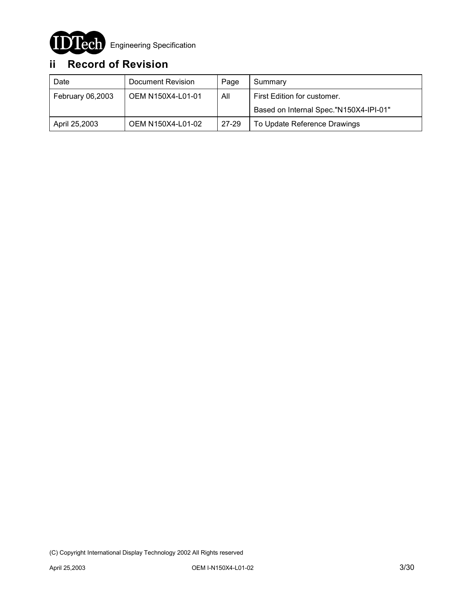

# **ii Record of Revision**

| Date             | Document Revision | Page  | Summary                                |
|------------------|-------------------|-------|----------------------------------------|
| February 06,2003 | OEM N150X4-L01-01 | All   | First Edition for customer.            |
|                  |                   |       | Based on Internal Spec."N150X4-IPI-01" |
| April 25,2003    | OEM N150X4-L01-02 | 27-29 | To Update Reference Drawings           |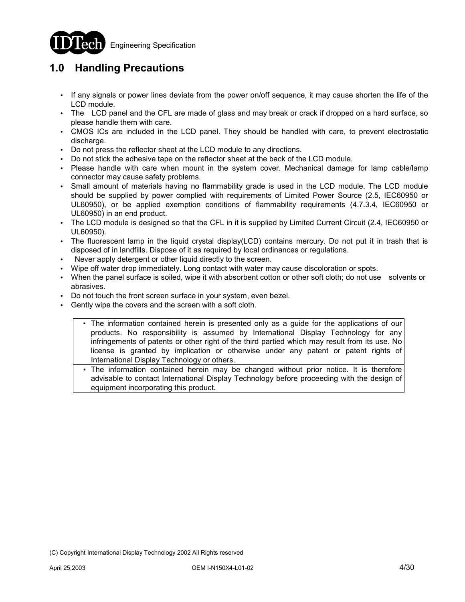

### **1.0 Handling Precautions**

- !" If any signals or power lines deviate from the power on/off sequence, it may cause shorten the life of the LCD module.
- . The LCD panel and the CFL are made of glass and may break or crack if dropped on a hard surface, so please handle them with care.
- CMOS ICs are included in the LCD panel. They should be handled with care, to prevent electrostatic discharge.
- . Do not press the reflector sheet at the LCD module to any directions.
- . Do not stick the adhesive tape on the reflector sheet at the back of the LCD module.
- !" Please handle with care when mount in the system cover. Mechanical damage for lamp cable/lamp connector may cause safety problems.
- . Small amount of materials having no flammability grade is used in the LCD module. The LCD module should be supplied by power complied with requirements of Limited Power Source (2.5, IEC60950 or UL60950), or be applied exemption conditions of flammability requirements (4.7.3.4, IEC60950 or UL60950) in an end product.
- !" The LCD module is designed so that the CFL in it is supplied by Limited Current Circuit (2.4, IEC60950 or UL60950).
- The fluorescent lamp in the liquid crystal display(LCD) contains mercury. Do not put it in trash that is disposed of in landfills. Dispose of it as required by local ordinances or regulations.
- Never apply detergent or other liquid directly to the screen.
- Wipe off water drop immediately. Long contact with water may cause discoloration or spots.
- !" When the panel surface is soiled, wipe it with absorbent cotton or other soft cloth; do not use solvents or abrasives.
- Do not touch the front screen surface in your system, even bezel.
- Gently wipe the covers and the screen with a soft cloth.
	- ƒ The information contained herein is presented only as a guide for the applications of our products. No responsibility is assumed by International Display Technology for any infringements of patents or other right of the third partied which may result from its use. No license is granted by implication or otherwise under any patent or patent rights of International Display Technology or others.
	- The information contained herein may be changed without prior notice. It is therefore advisable to contact International Display Technology before proceeding with the design of equipment incorporating this product.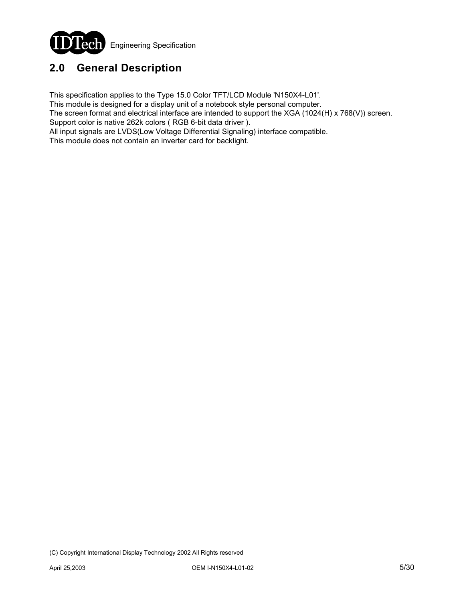

# **2.0 General Description**

This specification applies to the Type 15.0 Color TFT/LCD Module 'N150X4-L01'.

This module is designed for a display unit of a notebook style personal computer.

The screen format and electrical interface are intended to support the XGA (1024(H) x 768(V)) screen. Support color is native 262k colors ( RGB 6-bit data driver ).

All input signals are LVDS(Low Voltage Differential Signaling) interface compatible.

This module does not contain an inverter card for backlight.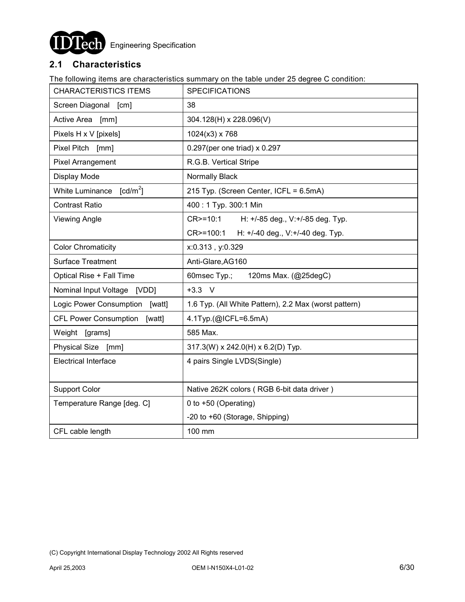

### **2.1 Characteristics**

The following items are characteristics summary on the table under 25 degree C condition:

| <b>CHARACTERISTICS ITEMS</b>           | <b>SPECIFICATIONS</b>                                 |  |  |  |  |
|----------------------------------------|-------------------------------------------------------|--|--|--|--|
| Screen Diagonal [cm]                   | 38                                                    |  |  |  |  |
| Active Area [mm]                       | 304.128(H) x 228.096(V)                               |  |  |  |  |
| Pixels H x V [pixels]                  | $1024(x3)$ x 768                                      |  |  |  |  |
| Pixel Pitch [mm]                       | 0.297(per one triad) x 0.297                          |  |  |  |  |
| <b>Pixel Arrangement</b>               | R.G.B. Vertical Stripe                                |  |  |  |  |
| Display Mode                           | Normally Black                                        |  |  |  |  |
| White Luminance $[cd/m^2]$             | 215 Typ. (Screen Center, ICFL = 6.5mA)                |  |  |  |  |
| <b>Contrast Ratio</b>                  | 400: 1 Typ. 300:1 Min                                 |  |  |  |  |
| <b>Viewing Angle</b>                   | CR>=10:1<br>H: +/-85 deg., V:+/-85 deg. Typ.          |  |  |  |  |
|                                        | CR>=100:1<br>H: +/-40 deg., V:+/-40 deg. Typ.         |  |  |  |  |
| <b>Color Chromaticity</b>              | x:0.313, y:0.329                                      |  |  |  |  |
| <b>Surface Treatment</b>               | Anti-Glare, AG160                                     |  |  |  |  |
| Optical Rise + Fall Time               | 60msec Typ.;<br>120ms Max. (@25degC)                  |  |  |  |  |
| Nominal Input Voltage [VDD]            | $+3.3$ V                                              |  |  |  |  |
| Logic Power Consumption<br>[watt]      | 1.6 Typ. (All White Pattern), 2.2 Max (worst pattern) |  |  |  |  |
| <b>CFL Power Consumption</b><br>[watt] | 4.1Typ.(@ICFL=6.5mA)                                  |  |  |  |  |
| Weight [grams]                         | 585 Max.                                              |  |  |  |  |
| Physical Size [mm]                     | 317.3(W) x 242.0(H) x 6.2(D) Typ.                     |  |  |  |  |
| <b>Electrical Interface</b>            | 4 pairs Single LVDS(Single)                           |  |  |  |  |
|                                        |                                                       |  |  |  |  |
| <b>Support Color</b>                   | Native 262K colors (RGB 6-bit data driver)            |  |  |  |  |
| Temperature Range [deg. C]             | 0 to +50 (Operating)                                  |  |  |  |  |
|                                        | -20 to +60 (Storage, Shipping)                        |  |  |  |  |
| CFL cable length                       | 100 mm                                                |  |  |  |  |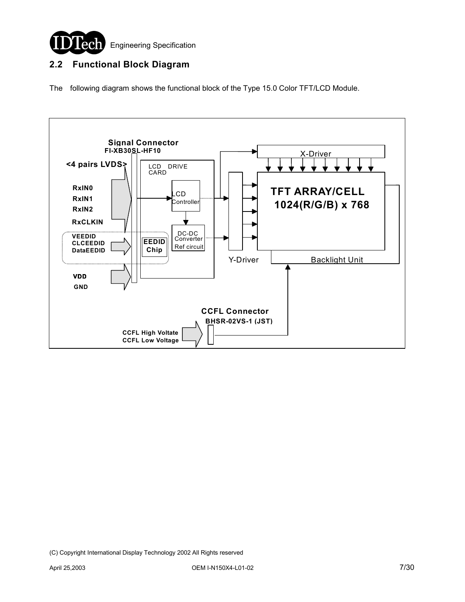

### **2.2 Functional Block Diagram**

The following diagram shows the functional block of the Type 15.0 Color TFT/LCD Module.

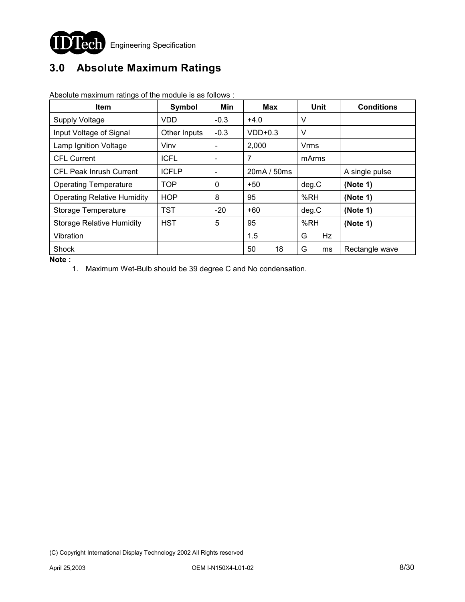

# **3.0 Absolute Maximum Ratings**

| <b>Item</b>                        | Symbol                                                  | Min                           | <b>Max</b> | <b>Unit</b>    | <b>Conditions</b> |
|------------------------------------|---------------------------------------------------------|-------------------------------|------------|----------------|-------------------|
| <b>Supply Voltage</b>              | <b>VDD</b>                                              | $-0.3$                        | $+4.0$     | V              |                   |
| Input Voltage of Signal            | Other Inputs                                            | $-0.3$                        | $VDD+0.3$  | V              |                   |
| Lamp Ignition Voltage              | Vinv                                                    |                               | 2,000      | Vrms           |                   |
| <b>CFL Current</b>                 | <b>ICFL</b>                                             | 7<br>$\overline{\phantom{a}}$ |            | mArms          |                   |
| <b>CFL Peak Inrush Current</b>     | <b>ICFLP</b><br>20mA / 50ms<br>$\overline{\phantom{a}}$ |                               |            | A single pulse |                   |
| <b>Operating Temperature</b>       | <b>TOP</b>                                              | 0                             | $+50$      | deg.C          | (Note 1)          |
| <b>Operating Relative Humidity</b> | <b>HOP</b>                                              | 8                             | 95         | %RH            | (Note 1)          |
| Storage Temperature                | TST                                                     | $-20$                         | +60        | deg.C          | (Note 1)          |
| <b>Storage Relative Humidity</b>   | <b>HST</b>                                              | 5                             | 95         | %RH            | (Note 1)          |
| Vibration                          |                                                         |                               | 1.5        | G<br>Hz        |                   |
| Shock                              |                                                         |                               | 50<br>18   | G<br>ms        | Rectangle wave    |

Absolute maximum ratings of the module is as follows :

**Note :** 

1. Maximum Wet-Bulb should be 39 degree C and No condensation.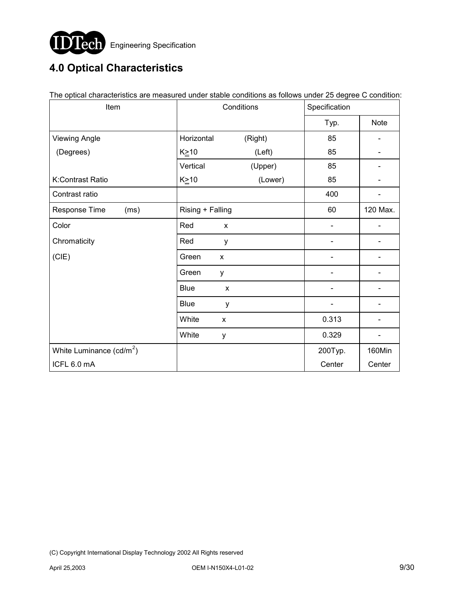

# **4.0 Optical Characteristics**

| The optical characteristics are measured under stable conditions as follows under 25 degree C condition.<br>Item | Conditions       |   |         | Specification |             |  |
|------------------------------------------------------------------------------------------------------------------|------------------|---|---------|---------------|-------------|--|
|                                                                                                                  |                  |   |         | Typ.          | <b>Note</b> |  |
| <b>Viewing Angle</b>                                                                                             | Horizontal       |   | (Right) | 85            |             |  |
| (Degrees)                                                                                                        | $K \geq 10$      |   | (Left)  | 85            |             |  |
|                                                                                                                  | Vertical         |   | (Upper) | 85            |             |  |
| K:Contrast Ratio                                                                                                 | $K \geq 10$      |   | (Lower) | 85            |             |  |
| Contrast ratio                                                                                                   |                  |   |         | 400           |             |  |
| Response Time<br>(ms)                                                                                            | Rising + Falling |   |         | 60            | 120 Max.    |  |
| Color                                                                                                            | Red              | X |         |               |             |  |
| Chromaticity                                                                                                     | Red              | y |         |               |             |  |
| (CIE)                                                                                                            | Green            | X |         |               |             |  |
|                                                                                                                  | Green            | y |         |               |             |  |
|                                                                                                                  | <b>Blue</b>      | X |         |               |             |  |
|                                                                                                                  | <b>Blue</b>      | y |         |               |             |  |
|                                                                                                                  | White            | X |         | 0.313         |             |  |
|                                                                                                                  | White            | у |         | 0.329         |             |  |
| White Luminance $(cd/m^2)$                                                                                       |                  |   |         | 200Typ.       | 160Min      |  |
| ICFL 6.0 mA                                                                                                      |                  |   |         | Center        | Center      |  |

The optical characteristics are measured under stable conditions as follows under 25 degree C condition: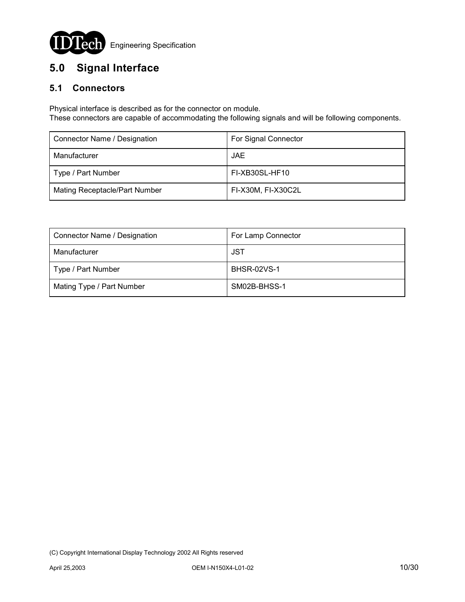

# **5.0 Signal Interface**

### **5.1 Connectors**

Physical interface is described as for the connector on module.

These connectors are capable of accommodating the following signals and will be following components.

| Connector Name / Designation  | For Signal Connector |  |  |
|-------------------------------|----------------------|--|--|
| Manufacturer                  | JAE                  |  |  |
| Type / Part Number            | FI-XB30SL-HF10       |  |  |
| Mating Receptacle/Part Number | FI-X30M, FI-X30C2L   |  |  |

| Connector Name / Designation | For Lamp Connector |  |  |
|------------------------------|--------------------|--|--|
| Manufacturer                 | JST                |  |  |
| Type / Part Number           | <b>BHSR-02VS-1</b> |  |  |
| Mating Type / Part Number    | SM02B-BHSS-1       |  |  |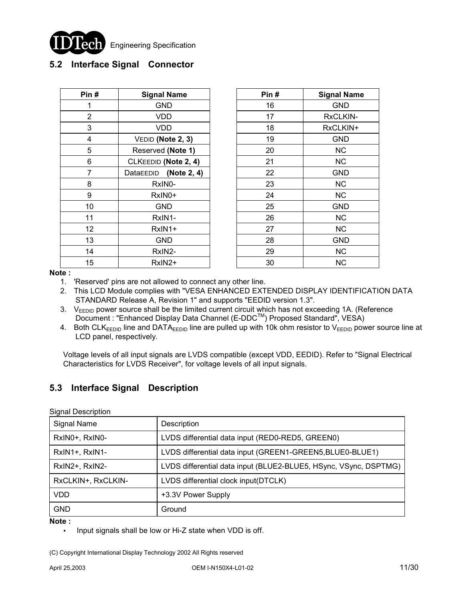

### **5.2 Interface Signal Connector**

| Pin#           | <b>Signal Name</b>       | Pin# | <b>Signal Name</b> |
|----------------|--------------------------|------|--------------------|
|                | <b>GND</b>               | 16   | <b>GND</b>         |
| $\overline{2}$ | VDD                      | 17   | RxCLKIN-           |
| 3              | VDD                      | 18   | RxCLKIN+           |
| 4              | VEDID (Note 2, 3)        | 19   | <b>GND</b>         |
| 5              | Reserved (Note 1)        | 20   | <b>NC</b>          |
| 6              | CLKEEDID (Note 2, 4)     | 21   | NC.                |
| 7              | (Note 2, 4)<br>DataEEDID | 22   | GND                |
| 8              | RxIN0-                   | 23   | <b>NC</b>          |
| 9              | RxIN0+                   | 24   | NC.                |
| 10             | <b>GND</b>               | 25   | GND                |
| 11             | RxIN1-                   | 26   | <b>NC</b>          |
| 12             | RxIN1+                   | 27   | NC.                |
| 13             | <b>GND</b>               | 28   | <b>GND</b>         |
| 14             | RxIN2-                   | 29   | <b>NC</b>          |
| 15             | RxIN <sub>2</sub> +      | 30   | NC.                |

| Pin # | <b>Signal Name</b> |  |  |  |
|-------|--------------------|--|--|--|
| 16    | <b>GND</b>         |  |  |  |
| 17    | <b>RxCLKIN-</b>    |  |  |  |
| 18    | RxCLKIN+           |  |  |  |
| 19    | <b>GND</b>         |  |  |  |
| 20    | ΝC                 |  |  |  |
| 21    | ΝC                 |  |  |  |
| 22    | <b>GND</b>         |  |  |  |
| 23    | ΝC                 |  |  |  |
| 24    | <b>NC</b>          |  |  |  |
| 25    | <b>GND</b>         |  |  |  |
| 26    | ΝC                 |  |  |  |
| 27    | NС                 |  |  |  |
| 28    | <b>GND</b>         |  |  |  |
| 29    | ΝC                 |  |  |  |
| 30    | ΝC                 |  |  |  |

**Note :**

- 1. 'Reserved' pins are not allowed to connect any other line.
- 2. This LCD Module complies with "VESA ENHANCED EXTENDED DISPLAY IDENTIFICATION DATA STANDARD Release A, Revision 1" and supports "EEDID version 1.3".
- 3. V<sub>EEDID</sub> power source shall be the limited current circuit which has not exceeding 1A. (Reference Document : "Enhanced Display Data Channel (E-DDC™) Proposed Standard", VESA)
- 4. Both CLKEEDID line and DATAEEDID line are pulled up with 10k ohm resistor to VEEDID power source line at LCD panel, respectively.

 Voltage levels of all input signals are LVDS compatible (except VDD, EEDID). Refer to "Signal Electrical Characteristics for LVDS Receiver", for voltage levels of all input signals.

### **5.3 Interface Signal Description**

Signal Description

| <b>Signal Name</b> | Description                                                      |
|--------------------|------------------------------------------------------------------|
| RxIN0+, RxIN0-     | LVDS differential data input (RED0-RED5, GREEN0)                 |
| RxIN1+, RxIN1-     | LVDS differential data input (GREEN1-GREEN5, BLUE0-BLUE1)        |
| RxIN2+, RxIN2-     | LVDS differential data input (BLUE2-BLUE5, HSync, VSync, DSPTMG) |
| RxCLKIN+, RxCLKIN- | LVDS differential clock input(DTCLK)                             |
| <b>VDD</b>         | +3.3V Power Supply                                               |
| <b>GND</b>         | Ground                                                           |

#### **Note :**

. Input signals shall be low or Hi-Z state when VDD is off.

<sup>(</sup>C) Copyright International Display Technology 2002 All Rights reserved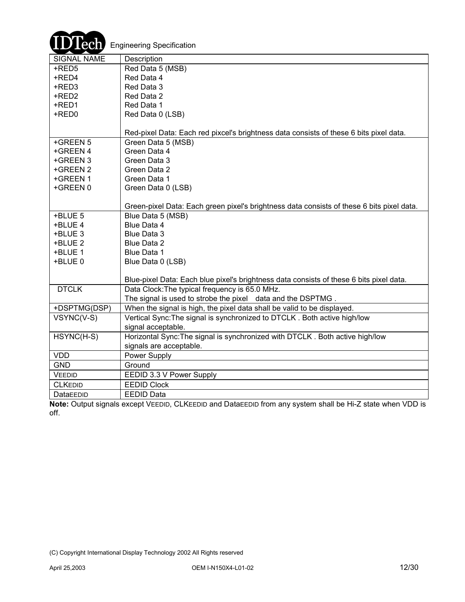

| ∽                  |                                                                                           |
|--------------------|-------------------------------------------------------------------------------------------|
| <b>SIGNAL NAME</b> | Description                                                                               |
| +RED5              | Red Data 5 (MSB)                                                                          |
| +RED4              | Red Data 4                                                                                |
| +RED3              | Red Data 3                                                                                |
| +RED2              | Red Data 2                                                                                |
| +RED1              | Red Data 1                                                                                |
| +RED0              | Red Data 0 (LSB)                                                                          |
|                    |                                                                                           |
|                    | Red-pixel Data: Each red pixcel's brightness data consists of these 6 bits pixel data.    |
| +GREEN 5           | Green Data 5 (MSB)                                                                        |
| +GREEN 4           | Green Data 4                                                                              |
| +GREEN 3           | Green Data 3                                                                              |
| +GREEN 2           | Green Data 2                                                                              |
| +GREEN 1           | Green Data 1                                                                              |
| +GREEN 0           | Green Data 0 (LSB)                                                                        |
|                    |                                                                                           |
|                    | Green-pixel Data: Each green pixel's brightness data consists of these 6 bits pixel data. |
| +BLUE 5            | Blue Data 5 (MSB)                                                                         |
| +BLUE 4            | Blue Data 4                                                                               |
| +BLUE 3            | <b>Blue Data 3</b>                                                                        |
| +BLUE 2            | <b>Blue Data 2</b>                                                                        |
| +BLUE 1            | Blue Data 1                                                                               |
| +BLUE 0            | Blue Data 0 (LSB)                                                                         |
|                    |                                                                                           |
|                    | Blue-pixel Data: Each blue pixel's brightness data consists of these 6 bits pixel data.   |
| <b>DTCLK</b>       | Data Clock: The typical frequency is 65.0 MHz.                                            |
|                    | The signal is used to strobe the pixel data and the DSPTMG.                               |
| +DSPTMG(DSP)       | When the signal is high, the pixel data shall be valid to be displayed.                   |
| VSYNC(V-S)         | Vertical Sync: The signal is synchronized to DTCLK. Both active high/low                  |
|                    | signal acceptable.                                                                        |
| HSYNC(H-S)         | Horizontal Sync: The signal is synchronized with DTCLK. Both active high/low              |
|                    | signals are acceptable.                                                                   |
| <b>VDD</b>         | Power Supply                                                                              |
| <b>GND</b>         | Ground                                                                                    |
| VEEDID             | EEDID 3.3 V Power Supply                                                                  |
| <b>CLKEDID</b>     | <b>EEDID Clock</b>                                                                        |
| DataEEDID          | <b>EEDID Data</b>                                                                         |
|                    |                                                                                           |

**Note:** Output signals except VEEDID, CLKEEDID and DataEEDID from any system shall be Hi-Z state when VDD is off.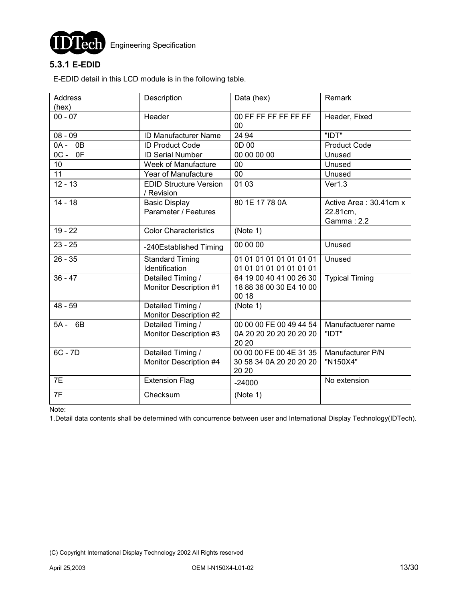

### **5.3.1 E-EDID**

E-EDID detail in this LCD module is in the following table.

| <b>Address</b> | Description                                 | Data (hex)              | Remark                 |
|----------------|---------------------------------------------|-------------------------|------------------------|
| (hex)          |                                             |                         |                        |
| $00 - 07$      | Header                                      | 00 FF FF FF FF FF FF    | Header, Fixed          |
| $08 - 09$      | <b>ID Manufacturer Name</b>                 | 00<br>24 94             | "IDT"                  |
|                |                                             | 0D 00                   |                        |
| 0B<br>0A -     | <b>ID Product Code</b>                      |                         | <b>Product Code</b>    |
| $OC -$<br>0F   | <b>ID Serial Number</b>                     | 00 00 00 00             | Unused                 |
| 10             | Week of Manufacture                         | 00                      | Unused                 |
| 11             | Year of Manufacture                         | 00                      | Unused                 |
| $12 - 13$      | <b>EDID Structure Version</b><br>/ Revision | 01 03                   | Ver1.3                 |
| $14 - 18$      | <b>Basic Display</b>                        | 80 1E 17 78 0A          | Active Area: 30.41cm x |
|                | Parameter / Features                        |                         | 22.81cm,               |
|                |                                             |                         | Gamma: 2.2             |
| $19 - 22$      | <b>Color Characteristics</b>                | (Note 1)                |                        |
| $23 - 25$      | -240Established Timing                      | 00 00 00                | Unused                 |
| $26 - 35$      | <b>Standard Timing</b>                      | 01 01 01 01 01 01 01 01 | Unused                 |
|                | Identification                              | 01 01 01 01 01 01 01 01 |                        |
| $36 - 47$      | Detailed Timing /                           | 64 19 00 40 41 00 26 30 | <b>Typical Timing</b>  |
|                | Monitor Description #1                      | 18 88 36 00 30 E4 10 00 |                        |
|                |                                             | 00 18                   |                        |
| $48 - 59$      | Detailed Timing /                           | (Note 1)                |                        |
|                | Monitor Description #2                      |                         |                        |
| 6B<br>5A -     | Detailed Timing /                           | 00 00 00 FE 00 49 44 54 | Manufactuerer name     |
|                | Monitor Description #3                      | 0A 20 20 20 20 20 20 20 | "IDT"                  |
|                |                                             | 20 20                   |                        |
| 6C - 7D        | Detailed Timing /                           | 00 00 00 FE 00 4E 31 35 | Manufacturer P/N       |
|                | Monitor Description #4                      | 30 58 34 0A 20 20 20 20 | "N150X4"               |
|                |                                             | 20 20                   |                        |
| 7E             | <b>Extension Flag</b>                       | $-24000$                | No extension           |
| 7F             | Checksum                                    | (Note 1)                |                        |
|                |                                             |                         |                        |

Note:

1.Detail data contents shall be determined with concurrence between user and International Display Technology(IDTech).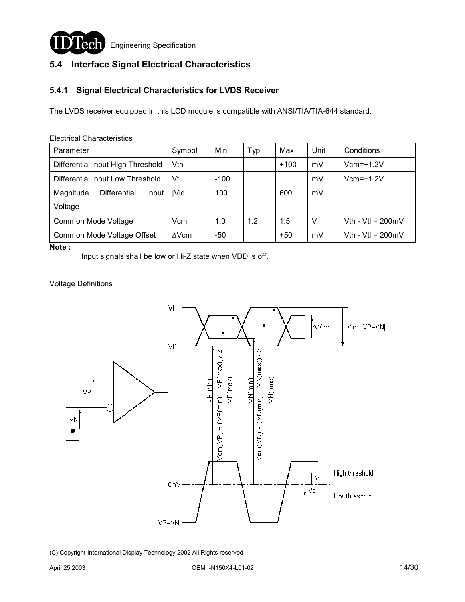

### **5.4 Interface Signal Electrical Characteristics**

### **5.4.1 Signal Electrical Characteristics for LVDS Receiver**

The LVDS receiver equipped in this LCD module is compatible with ANSI/TIA/TIA-644 standard.

| Parameter                          | Symbol       | Min    | Typ | Max    | Unit | Conditions                  |  |
|------------------------------------|--------------|--------|-----|--------|------|-----------------------------|--|
| Differential Input High Threshold  | Vth          |        |     | $+100$ | mV   | $Vcm = +1.2V$               |  |
| Differential Input Low Threshold   | Vtl          | $-100$ |     |        | mV   | $Vcm=+1.2V$                 |  |
| Magnitude<br>Differential<br>Input | Vid          | 100    |     | 600    | mV   |                             |  |
| Voltage                            |              |        |     |        |      |                             |  |
| Common Mode Voltage                | Vcm          | 1.0    | 1.2 | 1.5    | V    | Vth - Vtl = $200mV$         |  |
| Common Mode Voltage Offset         | $\Delta$ Vcm | -50    |     | $+50$  | mV   | Vth - Vtl = $200 \text{mV}$ |  |
|                                    |              |        |     |        |      |                             |  |

Electrical Characteristics

**Note :** 

Input signals shall be low or Hi-Z state when VDD is off.

#### Voltage Definitions

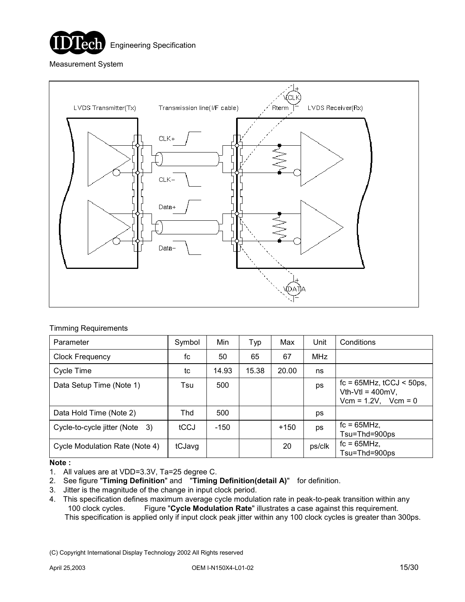

Measurement System



#### Timming Requirements

| Parameter                           | Symbol     | Min    | Typ   | Max    | Unit       | Conditions                                                                          |
|-------------------------------------|------------|--------|-------|--------|------------|-------------------------------------------------------------------------------------|
| <b>Clock Frequency</b>              | fc         | 50     | 65    | 67     | <b>MHz</b> |                                                                                     |
| Cycle Time                          | tc         | 14.93  | 15.38 | 20.00  | ns         |                                                                                     |
| Data Setup Time (Note 1)            | Tsu        | 500    |       |        | ps         | $fc = 65 MHz$ , $tCCJ < 50 ps$ ,<br>Vth-Vtl = $400mV$ ,<br>$Vcm = 1.2V$ , $Vcm = 0$ |
| Data Hold Time (Note 2)             | <b>Thd</b> | 500    |       |        | ps         |                                                                                     |
| Cycle-to-cycle jitter (Note 3)      | tCCJ       | $-150$ |       | $+150$ | ps         | $fc = 65MHz$ .<br>Tsu=Thd=900ps                                                     |
| Cycle Modulation Rate (Note 4)<br>. | tCJavg     |        |       | 20     | ps/clk     | $fc = 65MHz$ ,<br>Tsu=Thd=900ps                                                     |

#### **Note :**

- 1. All values are at VDD=3.3V, Ta=25 degree C.
- 2. See figure "**Timing Definition**" and "**Timing Definition(detail A)**" for definition.
- 3. Jitter is the magnitude of the change in input clock period.
- 4. This specification defines maximum average cycle modulation rate in peak-to-peak transition within any 100 clock cycles. Figure "**Cycle Modulation Rate**" illustrates a case against this requirement. This specification is applied only if input clock peak jitter within any 100 clock cycles is greater than 300ps.

<sup>(</sup>C) Copyright International Display Technology 2002 All Rights reserved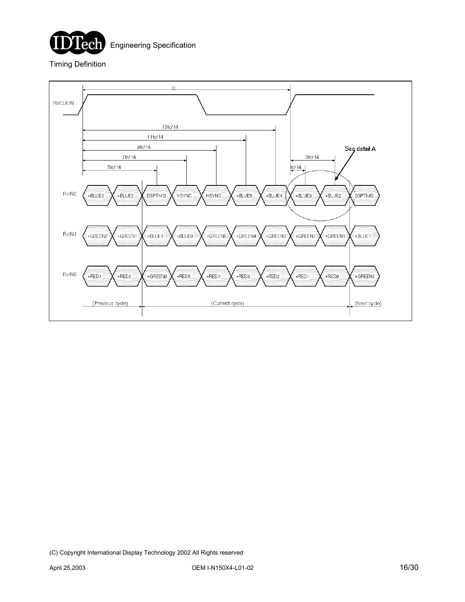

Engineering Specification

Timing Definition

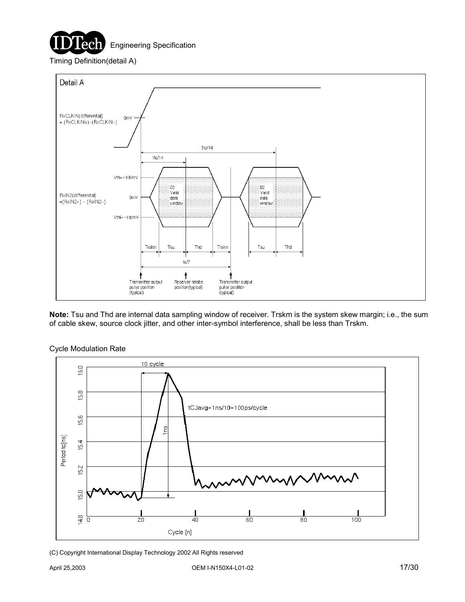

Timing Definition(detail A)



**Note:** Tsu and Thd are internal data sampling window of receiver. Trskm is the system skew margin; i.e., the sum of cable skew, source clock jitter, and other inter-symbol interference, shall be less than Trskm.



Cycle Modulation Rate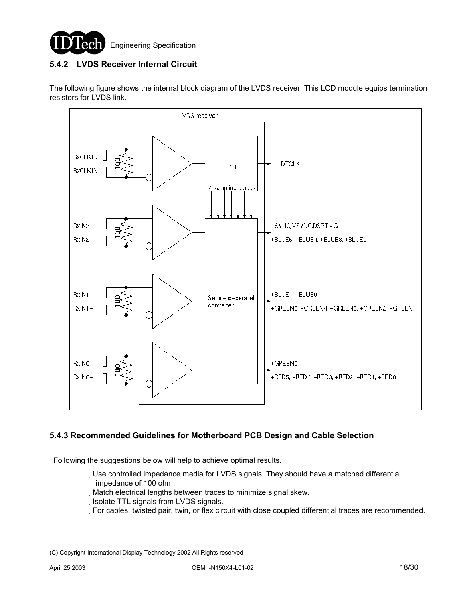

### **5.4.2 LVDS Receiver Internal Circuit**

The following figure shows the internal block diagram of the LVDS receiver. This LCD module equips termination resistors for LVDS link.



### **5.4.3 Recommended Guidelines for Motherboard PCB Design and Cable Selection**

Following the suggestions below will help to achieve optimal results.

- Use controlled impedance media for LVDS signals. They should have a matched differential impedance of 100 ohm.
- Match electrical lengths between traces to minimize signal skew.
- Isolate TTL signals from LVDS signals.
- For cables, twisted pair, twin, or flex circuit with close coupled differential traces are recommended.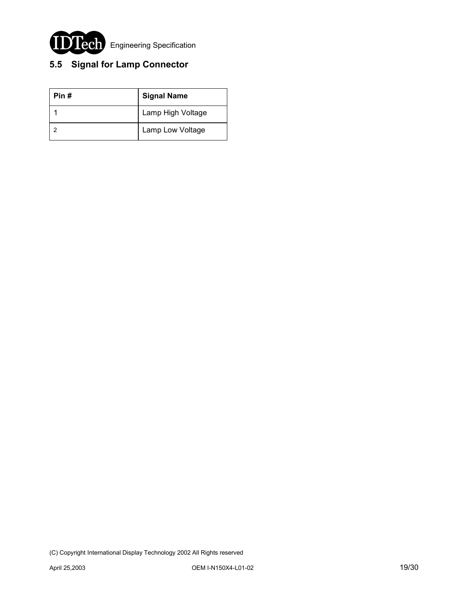

# **5.5 Signal for Lamp Connector**

| Pin # | <b>Signal Name</b> |
|-------|--------------------|
|       | Lamp High Voltage  |
|       | Lamp Low Voltage   |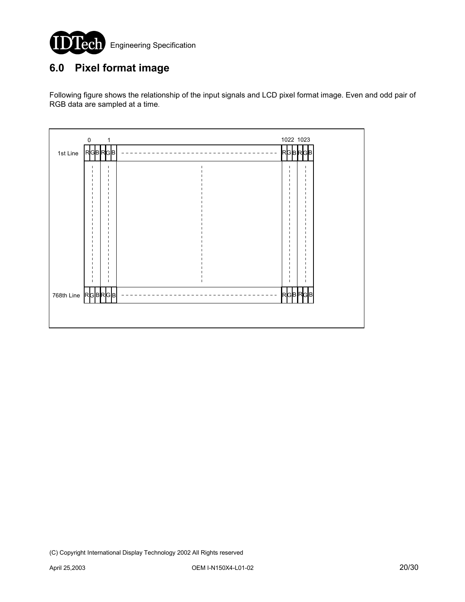

# **6.0 Pixel format image**

Following figure shows the relationship of the input signals and LCD pixel format image. Even and odd pair of RGB data are sampled at a time.

| $\mathsf{O}\xspace$<br>$\mathbf{1}$ | 1022 1023    |
|-------------------------------------|--------------|
| <b>RGBRGB</b><br>1st Line           | RGBRGB       |
|                                     |              |
|                                     |              |
|                                     |              |
| л<br>п                              |              |
|                                     |              |
|                                     |              |
| п                                   |              |
| п<br>л<br>J.<br>$\mathbf{I}$        | $\mathbf{I}$ |
| <b>RGBRGB</b><br>768th Line         | RGBRGB       |
|                                     |              |
|                                     |              |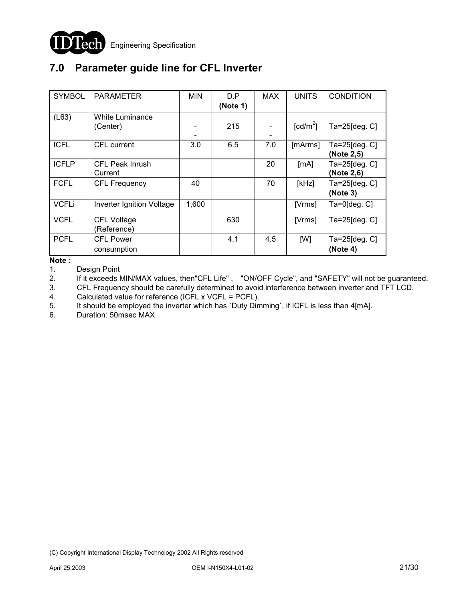

## **7.0 Parameter guide line for CFL Inverter**

| <b>SYMBOL</b> | <b>PARAMETER</b>                  | <b>MIN</b> | D.P<br>(Note 1) | <b>MAX</b> | <b>UNITS</b>     | <b>CONDITION</b>            |
|---------------|-----------------------------------|------------|-----------------|------------|------------------|-----------------------------|
| (L63)         | White Luminance<br>(Center)       |            | 215             |            | $\text{[cd/m}^2$ | Ta=25[deg. C]               |
| <b>ICFL</b>   | CFL current                       | 3.0        | 6.5             | 7.0        | [mArms]          | Ta=25[deg. C]<br>(Note 2,5) |
| <b>ICFLP</b>  | <b>CFL Peak Inrush</b><br>Current |            |                 | 20         | [mA]             | Ta=25[deg. C]<br>(Note 2,6) |
| <b>FCFL</b>   | <b>CFL Frequency</b>              | 40         |                 | 70         | [kHz]            | Ta=25[deg. C]<br>(Note 3)   |
| <b>VCFLi</b>  | Inverter Ignition Voltage         | 1,600      |                 |            | [Vrms]           | $Ta=0$ [deg. $C$ ]          |
| <b>VCFL</b>   | <b>CFL Voltage</b><br>(Reference) |            | 630             |            | [Vrms]           | Ta=25[deg. C]               |
| <b>PCFL</b>   | <b>CFL Power</b><br>consumption   |            | 4.1             | 4.5        | [W]              | Ta=25 $[deg.C]$<br>(Note 4) |

**Note :** 

1. Design Point

2. If it exceeds MIN/MAX values, then"CFL Life", "ON/OFF Cycle", and "SAFETY" will not be guaranteed.

3. CFL Frequency should be carefully determined to avoid interference between inverter and TFT LCD.

4. Calculated value for reference (ICFL x VCFL = PCFL).

5. It should be employed the inverter which has `Duty Dimming`, if ICFL is less than 4[mA].

6. Duration: 50msec MAX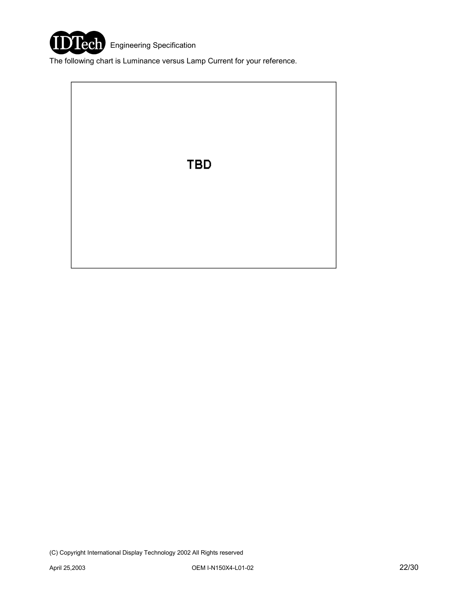

The following chart is Luminance versus Lamp Current for your reference.

**TBD**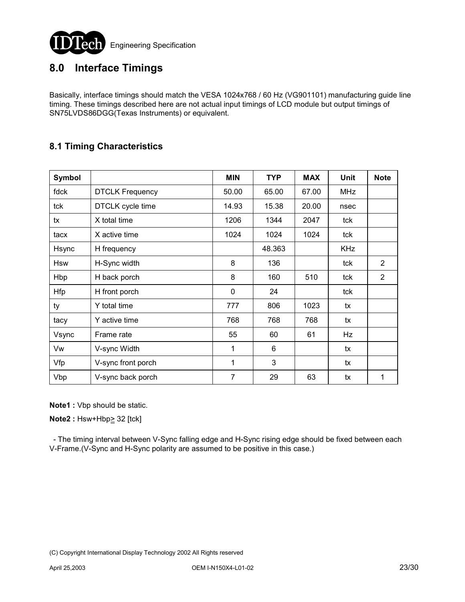

### **8.0 Interface Timings**

Basically, interface timings should match the VESA 1024x768 / 60 Hz (VG901101) manufacturing guide line timing. These timings described here are not actual input timings of LCD module but output timings of SN75LVDS86DGG(Texas Instruments) or equivalent.

### **8.1 Timing Characteristics**

| <b>Symbol</b> |                        | <b>MIN</b>   | <b>TYP</b> | <b>MAX</b> | <b>Unit</b> | <b>Note</b>    |
|---------------|------------------------|--------------|------------|------------|-------------|----------------|
| fdck          | <b>DTCLK Frequency</b> | 50.00        | 65.00      | 67.00      | <b>MHz</b>  |                |
| tck           | DTCLK cycle time       | 14.93        | 15.38      | 20.00      | nsec        |                |
| tx            | X total time           | 1206         | 1344       | 2047       | tck         |                |
| tacx          | X active time          | 1024         | 1024       | 1024       | tck         |                |
| Hsync         | H frequency            |              | 48.363     |            | <b>KHz</b>  |                |
| <b>Hsw</b>    | H-Sync width           | 8            | 136        |            | tck         | $\overline{2}$ |
| Hbp           | H back porch           | 8            | 160        | 510        | tck         | 2              |
| <b>Hfp</b>    | H front porch          | 0            | 24         |            | tck         |                |
| ty            | Y total time           | 777          | 806        | 1023       | tx          |                |
| tacy          | Y active time          | 768          | 768        | 768        | tx          |                |
| Vsync         | Frame rate             | 55           | 60         | 61         | Hz          |                |
| Vw            | V-sync Width           | 1            | 6          |            | tx          |                |
| Vfp           | V-sync front porch     | $\mathbf{1}$ | 3          |            | tx          |                |
| Vbp           | V-sync back porch      | 7            | 29         | 63         | tx          | 1              |

**Note1 :** Vbp should be static.

**Note2 : Hsw+Hbp> 32 [tck]** 

 - The timing interval between V-Sync falling edge and H-Sync rising edge should be fixed between each V-Frame.(V-Sync and H-Sync polarity are assumed to be positive in this case.)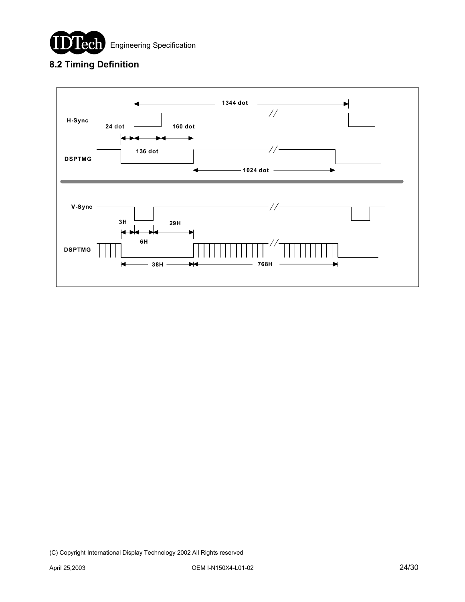

### **8.2 Timing Definition**

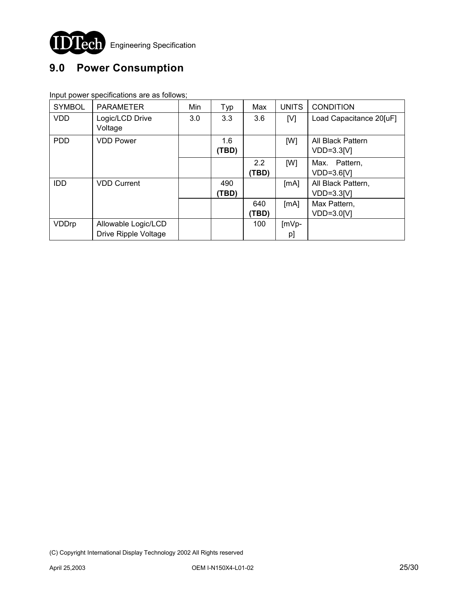

# **9.0 Power Consumption**

Input power specifications are as follows;

| <b>SYMBOL</b> | <b>PARAMETER</b>     | Min | Typ   | Max   | <b>UNITS</b> | <b>CONDITION</b>        |
|---------------|----------------------|-----|-------|-------|--------------|-------------------------|
| <b>VDD</b>    | Logic/LCD Drive      | 3.0 | 3.3   | 3.6   | [V]          | Load Capacitance 20[uF] |
|               | Voltage              |     |       |       |              |                         |
| <b>PDD</b>    | <b>VDD Power</b>     |     | 1.6   |       | [W]          | All Black Pattern       |
|               |                      |     | (TBD) |       |              | $VDD=3.3[V]$            |
|               |                      |     |       | 2.2   | [W]          | Max. Pattern,           |
|               |                      |     |       | (TBD) |              | VDD=3.6[V]              |
| <b>IDD</b>    | <b>VDD Current</b>   |     | 490   |       | [MA]         | All Black Pattern,      |
|               |                      |     | (TBD) |       |              | $VDD=3.3[V]$            |
|               |                      |     |       | 640   | [MA]         | Max Pattern,            |
|               |                      |     |       | (TBD  |              | VDD=3.0[V]              |
| VDDrp         | Allowable Logic/LCD  |     |       | 100   | $ImVp-$      |                         |
|               | Drive Ripple Voltage |     |       |       | pJ           |                         |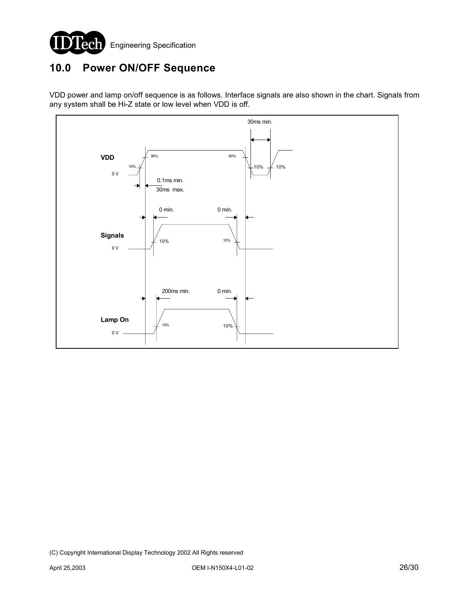

### **10.0 Power ON/OFF Sequence**

VDD power and lamp on/off sequence is as follows. Interface signals are also shown in the chart. Signals from any system shall be Hi-Z state or low level when VDD is off.

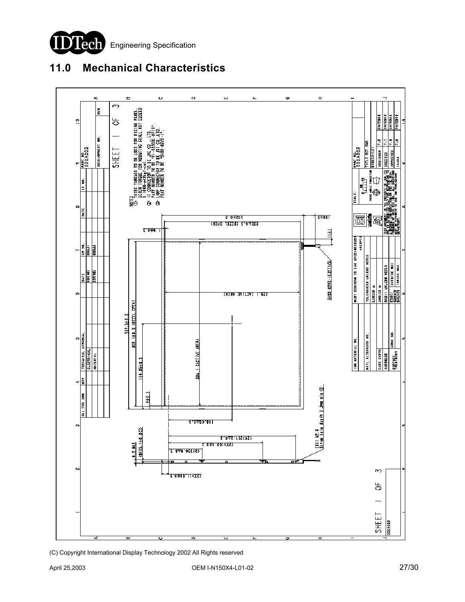

# **11.0 Mechanical Characteristics**

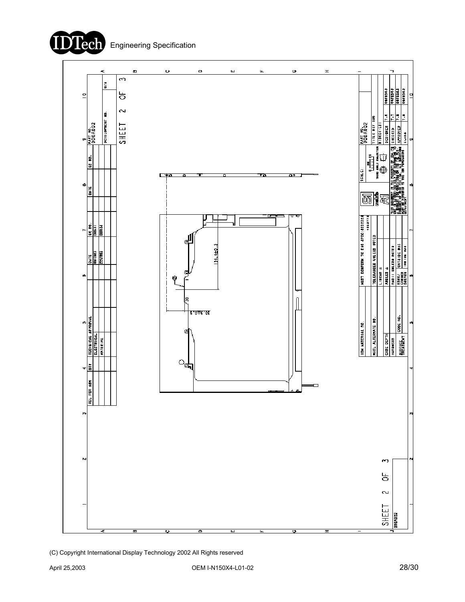**Tech** 

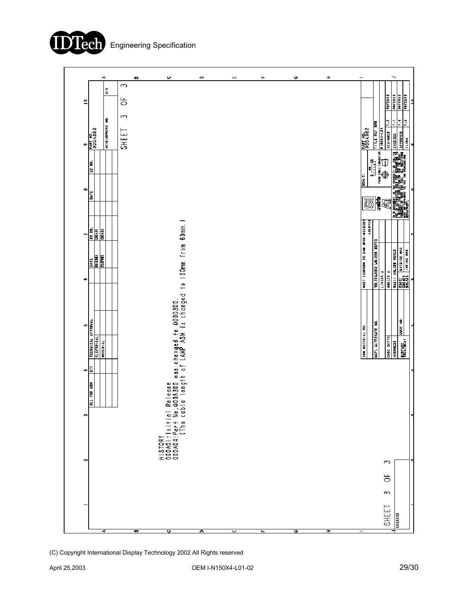

|                                                                                                        | 45<br>š         | o<br>$\rightarrow$        | υ                                                                                                     | $\circ$ | ш | щ | o | Ŧ | $\overline{\phantom{0}}$         |                                     | ¬                                                                                                   |                     |
|--------------------------------------------------------------------------------------------------------|-----------------|---------------------------|-------------------------------------------------------------------------------------------------------|---------|---|---|---|---|----------------------------------|-------------------------------------|-----------------------------------------------------------------------------------------------------|---------------------|
| $\mathbf{r}$<br><b>PART NO.</b><br>Ģ                                                                   | DEVELOPMENT NO. | 능<br>S<br>SHEET           |                                                                                                       |         |   |   |   |   | $\frac{1}{2}$                    | <b>TITLE REF DIM</b><br>NIEGE4-LEI  | <b>OVEROS</b><br>OVERAL<br><b>DAFED03</b><br>Ŀ<br>E<br><b>DEBIGNER</b>                              | E                   |
| EC NO.<br>ಳು<br><b>SATE</b>                                                                            |                 |                           |                                                                                                       |         |   |   |   |   | EGALE:<br>丽                      | <mark>≸</mark> 夏                    |                                                                                                     |                     |
| EC HQ.<br><b>Signal</b><br>h                                                                           |                 |                           |                                                                                                       |         |   |   |   |   | ******                           |                                     |                                                                                                     |                     |
| $\begin{array}{ l } \hline \text{Diff} \\ \hline \text{BEEM3} \\ \hline \text{BEEM3} \end{array}$<br>∞ |                 |                           |                                                                                                       |         |   |   |   |   | MN31 CONFORM TO EHR BPEC:00IE814 | LINERAHDEB UNLEBS NOTED<br>LINERA ± | Perry   הופוסב אריב<br>  Engery   המובצוסב אויצ<br>  Engery Engery   השובד<br>$\frac{1}{4}$ E3 1814 |                     |
| TECHNICAL APPROVAL<br>u7<br>ELECTRICAL                                                                 | <b>WIERIAL</b>  |                           |                                                                                                       |         |   |   |   |   | IBM HATERIAL NO.                 | MATL ALTERMATE NO                   | CASE DEPTH<br>HAR DNE 83                                                                            | CODE NO.            |
| ã<br>÷<br>REL FOR AON                                                                                  |                 |                           | Release<br>.000A300 was changed to 000D300.<br>ble length of LAMP ASM is changed to l00mm from 60mm.) |         |   |   |   |   |                                  |                                     |                                                                                                     |                     |
| F<br>N                                                                                                 |                 |                           | 응<br>$\overline{5}$<br>HISTORY<br>000A0I:Initic<br>000A04:Part R<br>000A04:Part G                     |         |   |   |   |   |                                  |                                     | S                                                                                                   |                     |
|                                                                                                        |                 |                           |                                                                                                       |         |   |   |   |   |                                  |                                     | ă<br>S                                                                                              |                     |
|                                                                                                        | च               | $\overline{\blacksquare}$ | D                                                                                                     | ᅙ       | E | ш | छ | H | $\qquad \qquad$                  |                                     | SHEET                                                                                               | DODAD <sub>12</sub> |